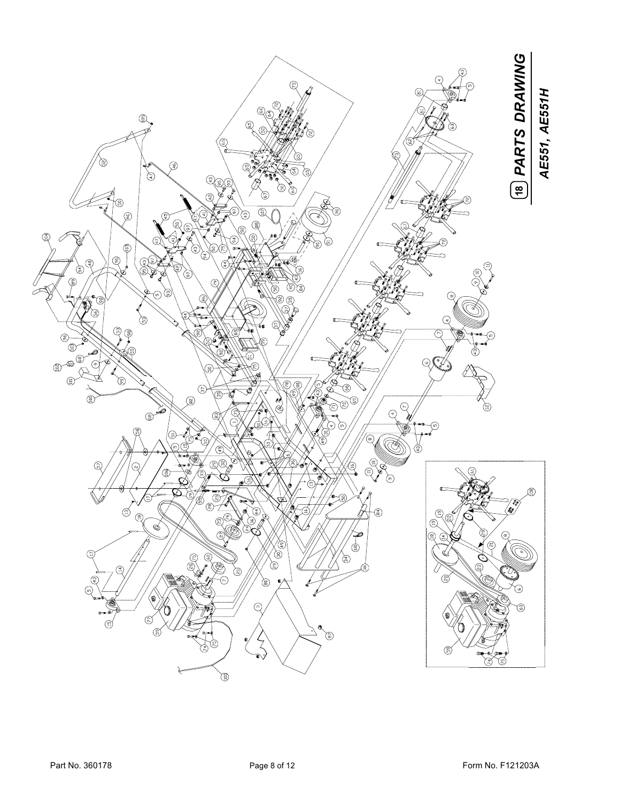